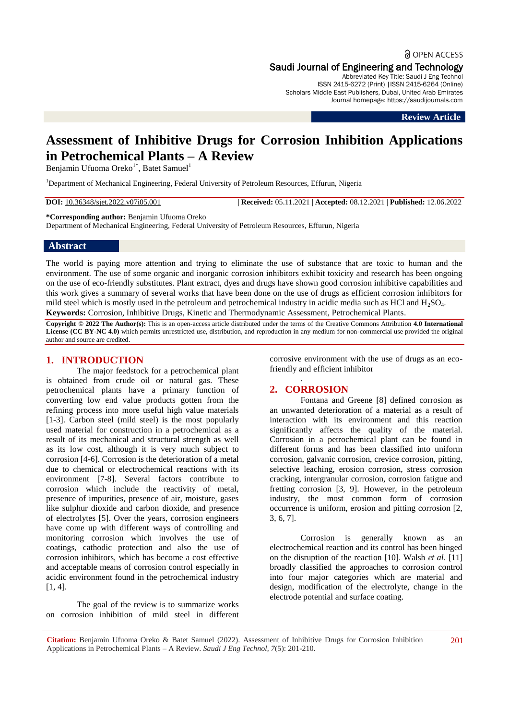**a** OPEN ACCESS Saudi Journal of Engineering and Technology

Abbreviated Key Title: Saudi J Eng Technol ISSN 2415-6272 (Print) |ISSN 2415-6264 (Online) Scholars Middle East Publishers, Dubai, United Arab Emirates Journal homepage: [https://saudijournals.com](https://saudijournals.com/sjeat)

**Review Article**

# **Assessment of Inhibitive Drugs for Corrosion Inhibition Applications in Petrochemical Plants – A Review**

Benjamin Ufuoma Oreko<sup>1\*</sup>, Batet Samuel<sup>1</sup>

<sup>1</sup>Department of Mechanical Engineering, Federal University of Petroleum Resources, Effurun, Nigeria

**DOI:** 10.36348/sjet.2022.v07i05.001 | **Received:** 05.11.2021 | **Accepted:** 08.12.2021 | **Published:** 12.06.2022

**\*Corresponding author:** Benjamin Ufuoma Oreko

Department of Mechanical Engineering, Federal University of Petroleum Resources, Effurun, Nigeria

#### **Abstract**

The world is paying more attention and trying to eliminate the use of substance that are toxic to human and the environment. The use of some organic and inorganic corrosion inhibitors exhibit toxicity and research has been ongoing on the use of eco-friendly substitutes. Plant extract, dyes and drugs have shown good corrosion inhibitive capabilities and this work gives a summary of several works that have been done on the use of drugs as efficient corrosion inhibitors for mild steel which is mostly used in the petroleum and petrochemical industry in acidic media such as HCl and  $H_2SO_4$ . **Keywords:** Corrosion, Inhibitive Drugs, Kinetic and Thermodynamic Assessment, Petrochemical Plants.

**Copyright © 2022 The Author(s):** This is an open-access article distributed under the terms of the Creative Commons Attribution **4.0 International License (CC BY-NC 4.0)** which permits unrestricted use, distribution, and reproduction in any medium for non-commercial use provided the original author and source are credited.

#### **1. INTRODUCTION**

The major feedstock for a petrochemical plant is obtained from crude oil or natural gas. These petrochemical plants have a primary function of converting low end value products gotten from the refining process into more useful high value materials [1-3]. Carbon steel (mild steel) is the most popularly used material for construction in a petrochemical as a result of its mechanical and structural strength as well as its low cost, although it is very much subject to corrosion [4-6]. Corrosion is the deterioration of a metal due to chemical or electrochemical reactions with its environment [7-8]. Several factors contribute to corrosion which include the reactivity of metal, presence of impurities, presence of air, moisture, gases like sulphur dioxide and carbon dioxide, and presence of electrolytes [5]. Over the years, corrosion engineers have come up with different ways of controlling and monitoring corrosion which involves the use of coatings, cathodic protection and also the use of corrosion inhibitors, which has become a cost effective and acceptable means of corrosion control especially in acidic environment found in the petrochemical industry [1, 4].

The goal of the review is to summarize works on corrosion inhibition of mild steel in different

corrosive environment with the use of drugs as an ecofriendly and efficient inhibitor

## **2. CORROSION**

.

Fontana and Greene [8] defined corrosion as an unwanted deterioration of a material as a result of interaction with its environment and this reaction significantly affects the quality of the material. Corrosion in a petrochemical plant can be found in different forms and has been classified into uniform corrosion, galvanic corrosion, crevice corrosion, pitting, selective leaching, erosion corrosion, stress corrosion cracking, intergranular corrosion, corrosion fatigue and fretting corrosion [3, 9]. However, in the petroleum industry, the most common form of corrosion occurrence is uniform, erosion and pitting corrosion [2, 3, 6, 7].

Corrosion is generally known as an electrochemical reaction and its control has been hinged on the disruption of the reaction [10]. Walsh *et al*. [11] broadly classified the approaches to corrosion control into four major categories which are material and design, modification of the electrolyte, change in the electrode potential and surface coating.

**Citation:** Benjamin Ufuoma Oreko & Batet Samuel (2022). Assessment of Inhibitive Drugs for Corrosion Inhibition Applications in Petrochemical Plants – A Review. *Saudi J Eng Technol, 7*(5): 201-210.

201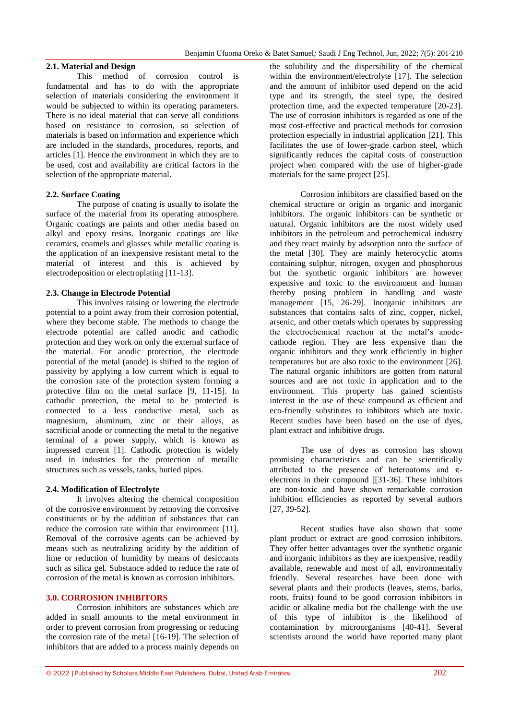## **2.1. Material and Design**

This method of corrosion control is fundamental and has to do with the appropriate selection of materials considering the environment it would be subjected to within its operating parameters. There is no ideal material that can serve all conditions based on resistance to corrosion, so selection of materials is based on information and experience which are included in the standards, procedures, reports, and articles [1]. Hence the environment in which they are to be used, cost and availability are critical factors in the selection of the appropriate material.

## **2.2. Surface Coating**

The purpose of coating is usually to isolate the surface of the material from its operating atmosphere. Organic coatings are paints and other media based on alkyl and epoxy resins. Inorganic coatings are like ceramics, enamels and glasses while metallic coating is the application of an inexpensive resistant metal to the material of interest and this is achieved by electrodeposition or electroplating [11-13].

## **2.3. Change in Electrode Potential**

This involves raising or lowering the electrode potential to a point away from their corrosion potential, where they become stable. The methods to change the electrode potential are called anodic and cathodic protection and they work on only the external surface of the material. For anodic protection, the electrode potential of the metal (anode) is shifted to the region of passivity by applying a low current which is equal to the corrosion rate of the protection system forming a protective film on the metal surface [9, 11-15]. In cathodic protection, the metal to be protected is connected to a less conductive metal, such as magnesium, aluminum, zinc or their alloys, as sacrificial anode or connecting the metal to the negative terminal of a power supply, which is known as impressed current [1]. Cathodic protection is widely used in industries for the protection of metallic structures such as vessels, tanks, buried pipes.

#### **2.4. Modification of Electrolyte**

It involves altering the chemical composition of the corrosive environment by removing the corrosive constituents or by the addition of substances that can reduce the corrosion rate within that environment [11]. Removal of the corrosive agents can be achieved by means such as neutralizing acidity by the addition of lime or reduction of humidity by means of desiccants such as silica gel. Substance added to reduce the rate of corrosion of the metal is known as corrosion inhibitors.

#### **3.0. CORROSION INHIBITORS**

Corrosion inhibitors are substances which are added in small amounts to the metal environment in order to prevent corrosion from progressing or reducing the corrosion rate of the metal [16-19]. The selection of inhibitors that are added to a process mainly depends on

the solubility and the dispersibility of the chemical within the environment/electrolyte [17]. The selection and the amount of inhibitor used depend on the acid type and its strength, the steel type, the desired protection time, and the expected temperature [20-23]. The use of corrosion inhibitors is regarded as one of the most cost-effective and practical methods for corrosion protection especially in industrial application [21]. This facilitates the use of lower-grade carbon steel, which significantly reduces the capital costs of construction project when compared with the use of higher-grade materials for the same project [25].

Corrosion inhibitors are classified based on the chemical structure or origin as organic and inorganic inhibitors. The organic inhibitors can be synthetic or natural. Organic inhibitors are the most widely used inhibitors in the petroleum and petrochemical industry and they react mainly by adsorption onto the surface of the metal [30]. They are mainly heterocyclic atoms containing sulphur, nitrogen, oxygen and phosphorous but the synthetic organic inhibitors are however expensive and toxic to the environment and human thereby posing problem in handling and waste management [15, 26-29]. Inorganic inhibitors are substances that contains salts of zinc, copper, nickel, arsenic, and other metals which operates by suppressing the electrochemical reaction at the metal's anodecathode region. They are less expensive than the organic inhibitors and they work efficiently in higher temperatures but are also toxic to the environment [26]. The natural organic inhibitors are gotten from natural sources and are not toxic in application and to the environment. This property has gained scientists interest in the use of these compound as efficient and eco-friendly substitutes to inhibitors which are toxic. Recent studies have been based on the use of dyes, plant extract and inhibitive drugs.

The use of dyes as corrosion has shown promising characteristics and can be scientifically attributed to the presence of heteroatoms and  $\pi$ electrons in their compound [[31-36]. These inhibitors are non-toxic and have shown remarkable corrosion inhibition efficiencies as reported by several authors [27, 39-52].

Recent studies have also shown that some plant product or extract are good corrosion inhibitors. They offer better advantages over the synthetic organic and inorganic inhibitors as they are inexpensive, readily available, renewable and most of all, environmentally friendly. Several researches have been done with several plants and their products (leaves, stems, barks, roots, fruits) found to be good corrosion inhibitors in acidic or alkaline media but the challenge with the use of this type of inhibitor is the likelihood of contamination by microorganisms [40-41]. Several scientists around the world have reported many plant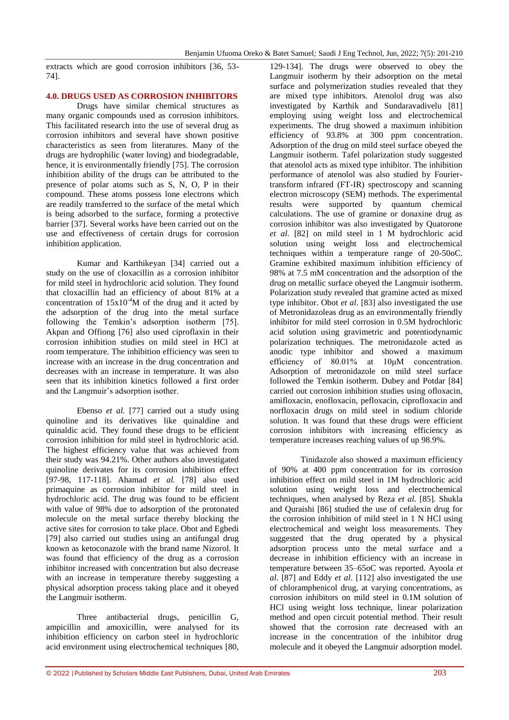extracts which are good corrosion inhibitors [36, 53- 74].

#### **4.0. DRUGS USED AS CORROSION INHIBITORS**

Drugs have similar chemical structures as many organic compounds used as corrosion inhibitors. This facilitated research into the use of several drug as corrosion inhibitors and several have shown positive characteristics as seen from literatures. Many of the drugs are hydrophilic (water loving) and biodegradable, hence, it is environmentally friendly [75]. The corrosion inhibition ability of the drugs can be attributed to the presence of polar atoms such as S, N, O, P in their compound. These atoms possess lone electrons which are readily transferred to the surface of the metal which is being adsorbed to the surface, forming a protective barrier [37]. Several works have been carried out on the use and effectiveness of certain drugs for corrosion inhibition application.

Kumar and Karthikeyan [34] carried out a study on the use of cloxacillin as a corrosion inhibitor for mild steel in hydrochloric acid solution. They found that cloxacillin had an efficiency of about 81% at a concentration of  $15x10^{-4}M$  of the drug and it acted by the adsorption of the drug into the metal surface following the Temkin's adsorption isotherm [75]. Akpan and Offiong [76] also used ciproflaxin in their corrosion inhibition studies on mild steel in HCl at room temperature. The inhibition efficiency was seen to increase with an increase in the drug concentration and decreases with an increase in temperature. It was also seen that its inhibition kinetics followed a first order and the Langmuir's adsorption isother.

Ebenso *et al.* [77] carried out a study using quinoline and its derivatives like quinaldine and quinaldic acid. They found these drugs to be efficient corrosion inhibition for mild steel in hydrochloric acid. The highest efficiency value that was achieved from their study was 94.21%. Other authors also investigated quinoline derivates for its corrosion inhibition effect [97-98, 117-118]. Ahamad *et al.* [78] also used primaquine as corrosion inhibitor for mild steel in hydrochloric acid. The drug was found to be efficient with value of 98% due to adsorption of the protonated molecule on the metal surface thereby blocking the active sites for corrosion to take place. Obot and Egbedi [79] also carried out studies using an antifungal drug known as ketoconazole with the brand name Nizorol. It was found that efficiency of the drug as a corrosion inhibitor increased with concentration but also decrease with an increase in temperature thereby suggesting a physical adsorption process taking place and it obeyed the Langmuir isotherm.

Three antibacterial drugs, penicillin G, ampicillin and amoxicillin, were analysed for its inhibition efficiency on carbon steel in hydrochloric acid environment using electrochemical techniques [80, 129-134]. The drugs were observed to obey the Langmuir isotherm by their adsorption on the metal surface and polymerization studies revealed that they are mixed type inhibitors. Atenolol drug was also investigated by Karthik and Sundaravadivelu [81] employing using weight loss and electrochemical experiments. The drug showed a maximum inhibition efficiency of 93.8% at 300 ppm concentration. Adsorption of the drug on mild steel surface obeyed the Langmuir isotherm. Tafel polarization study suggested that atenolol acts as mixed type inhibitor. The inhibition performance of atenolol was also studied by Fouriertransform infrared (FT-IR) spectroscopy and scanning electron microscopy (SEM) methods. The experimental results were supported by quantum chemical calculations. The use of gramine or donaxine drug as corrosion inhibitor was also investigated by Quatorone *et al*. [82] on mild steel in 1 M hydrochloric acid solution using weight loss and electrochemical techniques within a temperature range of 20-50oC. Gramine exhibited maximum inhibition efficiency of 98% at 7.5 mM concentration and the adsorption of the drug on metallic surface obeyed the Langmuir isotherm. Polarization study revealed that gramine acted as mixed type inhibitor. Obot *et al*. [83] also investigated the use of Metronidazoleas drug as an environmentally friendly inhibitor for mild steel corrosion in 0.5M hydrochloric acid solution using gravimetric and potentiodynamic polarization techniques. The metronidazole acted as anodic type inhibitor and showed a maximum efficiency of 80.01% at 10μM concentration. Adsorption of metronidazole on mild steel surface followed the Temkin isotherm. Dubey and Potdar [84] carried out corrosion inhibition studies using ofloxacin, amifloxacin, enofloxacin, pefloxacin, ciprofloxacin and norfloxacin drugs on mild steel in sodium chloride solution. It was found that these drugs were efficient corrosion inhibitors with increasing efficiency as temperature increases reaching values of up 98.9%.

Tinidazole also showed a maximum efficiency of 90% at 400 ppm concentration for its corrosion inhibition effect on mild steel in 1M hydrochloric acid solution using weight loss and electrochemical techniques, when analysed by Reza *et al*. [85]. Shukla and Quraishi [86] studied the use of cefalexin drug for the corrosion inhibition of mild steel in 1 N HCl using electrochemical and weight loss measurements. They suggested that the drug operated by a physical adsorption process unto the metal surface and a decrease in inhibition efficiency with an increase in temperature between 35–65oC was reported. Ayoola *et al*. [87] and Eddy *et al*. [112] also investigated the use of chloramphenicol drug, at varying concentrations, as corrosion inhibitors on mild steel in 0.1M solution of HCl using weight loss technique, linear polarization method and open circuit potential method. Their result showed that the corrosion rate decreased with an increase in the concentration of the inhibitor drug molecule and it obeyed the Langmuir adsorption model.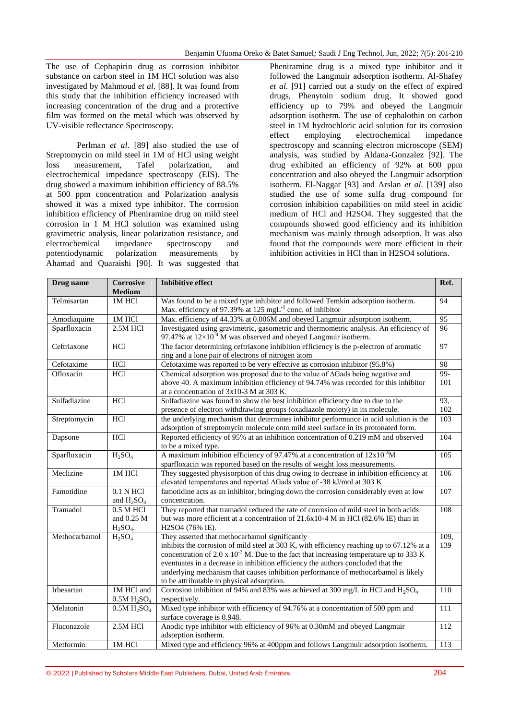The use of Cephapirin drug as corrosion inhibitor substance on carbon steel in 1M HCl solution was also investigated by Mahmoud *et al*. [88]. It was found from this study that the inhibition efficiency increased with increasing concentration of the drug and a protective film was formed on the metal which was observed by UV-visible reflectance Spectroscopy.

Perlman *et al*. [89] also studied the use of Streptomycin on mild steel in 1M of HCl using weight loss measurement, Tafel polarization, and electrochemical impedance spectroscopy (EIS). The drug showed a maximum inhibition efficiency of 88.5% at 500 ppm concentration and Polarization analysis showed it was a mixed type inhibitor. The corrosion inhibition efficiency of Pheniramine drug on mild steel corrosion in 1 M HCl solution was examined using gravimetric analysis, linear polarization resistance, and electrochemical impedance spectroscopy and potentiodynamic polarization measurements by Ahamad and Quaraishi [90]. It was suggested that

Pheniramine drug is a mixed type inhibitor and it followed the Langmuir adsorption isotherm. Al-Shafey *et al*. [91] carried out a study on the effect of expired drugs, Phenytoin sodium drug. It showed good efficiency up to 79% and obeyed the Langmuir adsorption isotherm. The use of cephalothin on carbon steel in 1M hydrochloric acid solution for its corrosion effect employing electrochemical impedance spectroscopy and scanning electron microscope (SEM) analysis, was studied by Aldana-Gonzalez [92]. The drug exhibited an efficiency of 92% at 600 ppm concentration and also obeyed the Langmuir adsorption isotherm. El-Naggar [93] and Arslan *et al*. [139] also studied the use of some sulfa drug compound for corrosion inhibition capabilities on mild steel in acidic medium of HCl and H2SO4. They suggested that the compounds showed good efficiency and its inhibition mechanism was mainly through adsorption. It was also found that the compounds were more efficient in their inhibition activities in HCl than in H2SO4 solutions.

| Drug name     | <b>Corrosive</b><br><b>Medium</b>                 | <b>Inhibitive effect</b>                                                                                                                                                                                                                                                                                                                                                                                                                                           | Ref.            |
|---------------|---------------------------------------------------|--------------------------------------------------------------------------------------------------------------------------------------------------------------------------------------------------------------------------------------------------------------------------------------------------------------------------------------------------------------------------------------------------------------------------------------------------------------------|-----------------|
| Telmisartan   | 1M HCl                                            | Was found to be a mixed type inhibitor and followed Temkin adsorption isotherm.<br>Max. efficiency of 97.39% at 125 mgL <sup>-1</sup> conc. of inhibitor                                                                                                                                                                                                                                                                                                           | 94              |
| Amodiaquine   | 1M HCl                                            | Max. efficiency of 44.33% at 0.006M and obeyed Langmuir adsorption isotherm.                                                                                                                                                                                                                                                                                                                                                                                       | $\overline{95}$ |
| Sparfloxacin  | 2.5M HCl                                          | Investigated using gravimetric, gasometric and thermometric analysis. An efficiency of<br>97.47% at $12\times10^{-4}$ M was observed and obeyed Langmuir isotherm.                                                                                                                                                                                                                                                                                                 | 96              |
| Ceftriaxone   | <b>HCl</b>                                        | The factor determining ceftriaxone inhibition efficiency is the p-electron of aromatic<br>ring and a lone pair of electrons of nitrogen atom                                                                                                                                                                                                                                                                                                                       | 97              |
| Cefotaxime    | HCI                                               | Cefotaxime was reported to be very effective as corrosion inhibitor (95.8%)                                                                                                                                                                                                                                                                                                                                                                                        | 98              |
| Ofloxacin     | <b>HCl</b>                                        | Chemical adsorption was proposed due to the value of AGads being negative and<br>above 40. A maximum inhibition efficiency of 94.74% was recorded for this inhibitor<br>at a concentration of 3x10-3 M at 303 K.                                                                                                                                                                                                                                                   | $99-$<br>101    |
| Sulfadiazine  | <b>HCl</b>                                        | Sulfadiazine was found to show the best inhibition efficiency due to due to the<br>presence of electron withdrawing groups (oxadiazole moiety) in its molecule.                                                                                                                                                                                                                                                                                                    | 93,<br>102      |
| Streptomycin  | HCl                                               | the underlying mechanism that determines inhibitor performance in acid solution is the<br>adsorption of streptomycin molecule onto mild steel surface in its protonated form.                                                                                                                                                                                                                                                                                      | 103             |
| Dapsone       | <b>HCl</b>                                        | Reported efficiency of 95% at an inhibition concentration of 0.219 mM and observed<br>to be a mixed type.                                                                                                                                                                                                                                                                                                                                                          | 104             |
| Sparfloxacin  | $H_2SO_4$                                         | A maximum inhibition efficiency of 97.47% at a concentration of $12x10^{-4}M$<br>sparfloxacin was reported based on the results of weight loss measurements.                                                                                                                                                                                                                                                                                                       | 105             |
| Meclizine     | 1M HCl                                            | They suggested physisorption of this drug owing to decrease in inhibition efficiency at<br>elevated temperatures and reported ∆Gads value of -38 kJ/mol at 303 K                                                                                                                                                                                                                                                                                                   | 106             |
| Famotidine    | 0.1 N HCl<br>and $H_2SO_4$                        | famotidine acts as an inhibitor, bringing down the corrosion considerably even at low<br>concentration.                                                                                                                                                                                                                                                                                                                                                            | 107             |
| Tramadol      | 0.5 M HCl<br>and 0.25 M<br>$H2SO4$ .              | They reported that tramadol reduced the rate of corrosion of mild steel in both acids<br>but was more efficient at a concentration of 21.6x10-4 M in HCl (82.6% IE) than in<br>H2SO4 (76% IE).                                                                                                                                                                                                                                                                     | 108             |
| Methocarbamol | $H_2SO_4$                                         | They asserted that methocarbamol significantly<br>inhibits the corrosion of mild steel at 303 K, with efficiency reaching up to 67.12% at a<br>concentration of 2.0 x $10^{-3}$ M. Due to the fact that increasing temperature up to 333 K<br>eventuates in a decrease in inhibition efficiency the authors concluded that the<br>underlying mechanism that causes inhibition performance of methocarbamol is likely<br>to be attributable to physical adsorption. | 109,<br>139     |
| Irbesartan    | 1M HCl and<br>0.5M H <sub>2</sub> SO <sub>4</sub> | Corrosion inhibition of 94% and 83% was achieved at 300 mg/L in HCl and $H_2SO_4$<br>respectively.                                                                                                                                                                                                                                                                                                                                                                 | 110             |
| Melatonin     | 0.5M H <sub>2</sub> SO <sub>4</sub>               | Mixed type inhibitor with efficiency of 94.76% at a concentration of 500 ppm and<br>surface coverage is 0.948.                                                                                                                                                                                                                                                                                                                                                     | 111             |
| Fluconazole   | 2.5M HCl                                          | Anodic type inhibitor with efficiency of 96% at 0.30mM and obeyed Langmuir<br>adsorption isotherm.                                                                                                                                                                                                                                                                                                                                                                 | 112             |
| Metformin     | 1M HCl                                            | Mixed type and efficiency 96% at 400ppm and follows Langmuir adsorption isotherm.                                                                                                                                                                                                                                                                                                                                                                                  | 113             |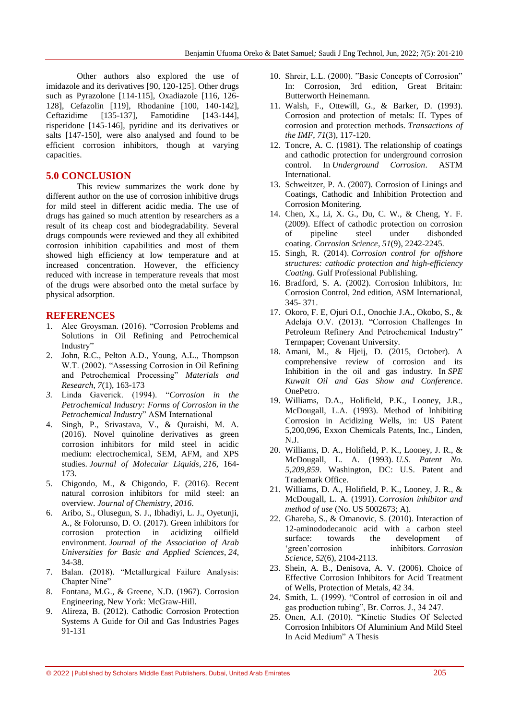Other authors also explored the use of imidazole and its derivatives [90, 120-125]. Other drugs such as Pyrazolone [114-115], Oxadiazole [116, 126- 128], Cefazolin [119], Rhodanine [100, 140-142], Ceftazidime [135-137], Famotidine [143-144], risperidone [145-146], pyridine and its derivatives or salts [147-150], were also analysed and found to be efficient corrosion inhibitors, though at varying capacities.

## **5.0 CONCLUSION**

This review summarizes the work done by different author on the use of corrosion inhibitive drugs for mild steel in different acidic media. The use of drugs has gained so much attention by researchers as a result of its cheap cost and biodegradability. Several drugs compounds were reviewed and they all exhibited corrosion inhibition capabilities and most of them showed high efficiency at low temperature and at increased concentration. However, the efficiency reduced with increase in temperature reveals that most of the drugs were absorbed onto the metal surface by physical adsorption.

## **REFERENCES**

- 1. Alec Groysman. (2016). "Corrosion Problems and Solutions in Oil Refining and Petrochemical Industry"
- 2. John, R.C., Pelton A.D., Young, A.L., Thompson W.T. (2002). "Assessing Corrosion in Oil Refining and Petrochemical Processing" Materials and *Research, 7*(1), 163-173
- *3.* Linda Gaverick. (1994). ―*Corrosion in the Petrochemical Industry: Forms of Corrosion in the*  Petrochemical Industry" ASM International
- 4. Singh, P., Srivastava, V., & Quraishi, M. A. (2016). Novel quinoline derivatives as green corrosion inhibitors for mild steel in acidic medium: electrochemical, SEM, AFM, and XPS studies. *Journal of Molecular Liquids*, *216*, 164- 173.
- 5. Chigondo, M., & Chigondo, F. (2016). Recent natural corrosion inhibitors for mild steel: an overview. *Journal of Chemistry*, *2016*.
- 6. Aribo, S., Olusegun, S. J., Ibhadiyi, L. J., Oyetunji, A., & Folorunso, D. O. (2017). Green inhibitors for corrosion protection in acidizing oilfield environment. *Journal of the Association of Arab Universities for Basic and Applied Sciences*, *24*, 34-38.
- 7. Balan. (2018). "Metallurgical Failure Analysis: Chapter Nine"
- 8. Fontana, M.G., & Greene, N.D. (1967). Corrosion Engineering, New York: McGraw-Hill.
- 9. [Alireza, B.](https://www.sciencedirect.com/science/article/pii/B978012800274200003X#!) (2012). [Cathodic Corrosion Protection](https://www.sciencedirect.com/science/book/9780128002742)  [Systems](https://www.sciencedirect.com/science/book/9780128002742) A Guide for Oil and Gas Industries Pages 91-131
- 10. Shreir, L.L. (2000). "Basic Concepts of Corrosion" In: Corrosion, 3rd edition, Great Britain: Butterworth Heinemann.
- 11. Walsh, F., Ottewill, G., & Barker, D. (1993). Corrosion and protection of metals: II. Types of corrosion and protection methods. *Transactions of the IMF*, *71*(3), 117-120.
- 12. Toncre, A. C. (1981). The relationship of coatings and cathodic protection for underground corrosion control. In *Underground Corrosion*. ASTM International.
- 13. Schweitzer, P. A. (2007). Corrosion of Linings and Coatings, Cathodic and Inhibition Protection and Corrosion Monitering.
- 14. Chen, X., Li, X. G., Du, C. W., & Cheng, Y. F. (2009). Effect of cathodic protection on corrosion of pipeline steel under disbonded coating. *Corrosion Science*, *51*(9), 2242-2245.
- 15. Singh, R. (2014). *Corrosion control for offshore structures: cathodic protection and high-efficiency Coating*. Gulf Professional Publishing.
- 16. Bradford, S. A. (2002). Corrosion Inhibitors, In: Corrosion Control, 2nd edition, ASM International, 345- 371.
- 17. Okoro, F. E, Ojuri O.I., Onochie J.A., Okobo, S., & Adelaja O.V. (2013). "Corrosion Challenges In Petroleum Refinery And Petrochemical Industry" Termpaper; Covenant University.
- 18. Amani, M., & Hjeij, D. (2015, October). A comprehensive review of corrosion and its Inhibition in the oil and gas industry. In *SPE Kuwait Oil and Gas Show and Conference*. OnePetro.
- 19. Williams, D.A., Holifield, P.K., Looney, J.R., McDougall, L.A. (1993). Method of Inhibiting Corrosion in Acidizing Wells, in: US Patent 5,200,096, Exxon Chemicals Patents, Inc., Linden, N.J.
- 20. Williams, D. A., Holifield, P. K., Looney, J. R., & McDougall, L. A. (1993). *U.S. Patent No. 5,209,859*. Washington, DC: U.S. Patent and Trademark Office.
- 21. Williams, D. A., Holifield, P. K., Looney, J. R., & McDougall, L. A. (1991). *Corrosion inhibitor and method of use* (No. US 5002673; A).
- 22. Ghareba, S., & Omanovic, S. (2010). Interaction of 12-aminododecanoic acid with a carbon steel surface: towards the development of ‗green'corrosion inhibitors. *Corrosion Science*, *52*(6), 2104-2113.
- 23. Shein, A. B., Denisova, A. V. (2006). Choice of Effective Corrosion Inhibitors for Acid Treatment of Wells, Protection of Metals, 42 34.
- 24. Smith, L. (1999). "Control of corrosion in oil and gas production tubing", Br. Corros. J., 34 247.
- 25. Onen, A.I. (2010). "Kinetic Studies Of Selected Corrosion Inhibitors Of Aluminium And Mild Steel In Acid Medium" A Thesis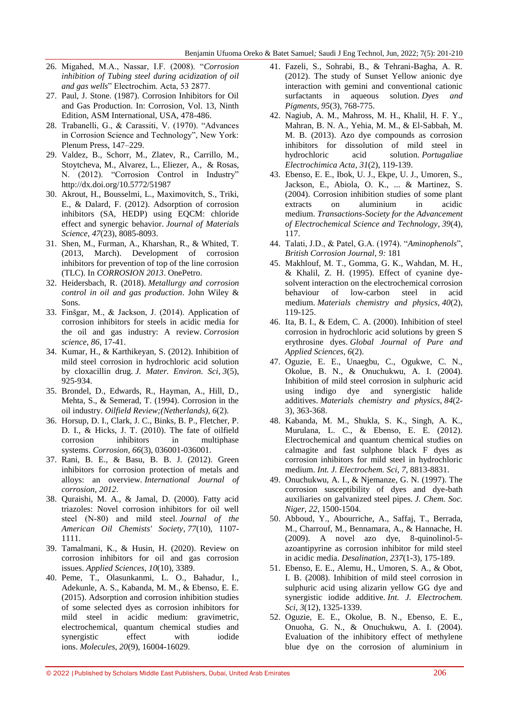- 26. Migahed, M.A., Nassar, I.F. (2008). "Corrosion *inhibition of Tubing steel during acidization of oil and gas wells*" Electrochim. Acta, 53 2877.
- 27. Paul, J. Stone. (1987). Corrosion Inhibitors for Oil and Gas Production. In: Corrosion, Vol. 13, Ninth Edition, ASM International, USA, 478-486.
- 28. Trabanelli, G., & Carassiti, V. (1970). "Advances in Corrosion Science and Technology", New York: Plenum Press, 147–229.
- 29. Valdez, B., Schorr, M., Zlatev, R., Carrillo, M., Stoytcheva, M., Alvarez, L., Eliezer, A., & Rosas, N. (2012). "Corrosion Control in Industry" <http://dx.doi.org/10.5772/51987>
- 30. Akrout, H., Bousselmi, L., Maximovitch, S., Triki, E., & Dalard, F. (2012). Adsorption of corrosion inhibitors (SA, HEDP) using EQCM: chloride effect and synergic behavior. *Journal of Materials Science*, *47*(23), 8085-8093.
- 31. Shen, M., Furman, A., Kharshan, R., & Whited, T. (2013, March). Development of corrosion inhibitors for prevention of top of the line corrosion (TLC). In *CORROSION 2013*. OnePetro.
- 32. Heidersbach, R. (2018). *Metallurgy and corrosion control in oil and gas production*. John Wiley & Sons.
- 33. Finšgar, M., & Jackson, J. (2014). Application of corrosion inhibitors for steels in acidic media for the oil and gas industry: A review. *Corrosion science*, *86*, 17-41.
- 34. Kumar, H., & Karthikeyan, S. (2012). Inhibition of mild steel corrosion in hydrochloric acid solution by cloxacillin drug. *J. Mater. Environ. Sci*, *3*(5), 925-934.
- 35. Brondel, D., Edwards, R., Hayman, A., Hill, D., Mehta, S., & Semerad, T. (1994). Corrosion in the oil industry. *Oilfield Review;(Netherlands)*, *6*(2).
- 36. Horsup, D. I., Clark, J. C., Binks, B. P., Fletcher, P. D. I., & Hicks, J. T. (2010). The fate of oilfield corrosion inhibitors in multiphase systems. *Corrosion*, *66*(3), 036001-036001.
- 37. Rani, B. E., & Basu, B. B. J. (2012). Green inhibitors for corrosion protection of metals and alloys: an overview. *International Journal of corrosion*, *2012*.
- 38. Quraishi, M. A., & Jamal, D. (2000). Fatty acid triazoles: Novel corrosion inhibitors for oil well steel (N‐80) and mild steel. *Journal of the American Oil Chemists' Society*, *77*(10), 1107- 1111.
- 39. Tamalmani, K., & Husin, H. (2020). Review on corrosion inhibitors for oil and gas corrosion issues. *Applied Sciences*, *10*(10), 3389.
- 40. Peme, T., Olasunkanmi, L. O., Bahadur, I., Adekunle, A. S., Kabanda, M. M., & Ebenso, E. E. (2015). Adsorption and corrosion inhibition studies of some selected dyes as corrosion inhibitors for mild steel in acidic medium: gravimetric, electrochemical, quantum chemical studies and synergistic effect with iodide ions. *Molecules*, *20*(9), 16004-16029.
- 41. Fazeli, S., Sohrabi, B., & Tehrani-Bagha, A. R. (2012). The study of Sunset Yellow anionic dye interaction with gemini and conventional cationic surfactants in aqueous solution. *Dyes and Pigments*, *95*(3), 768-775.
- 42. Nagiub, A. M., Mahross, M. H., Khalil, H. F. Y., Mahran, B. N. A., Yehia, M. M., & El-Sabbah, M. M. B. (2013). Azo dye compounds as corrosion inhibitors for dissolution of mild steel in hydrochloric acid solution. *Portugaliae Electrochimica Acta*, *31*(2), 119-139.
- 43. Ebenso, E. E., Ibok, U. J., Ekpe, U. J., Umoren, S., Jackson, E., Abiola, O. K., ... & Martinez, S. (2004). Corrosion inhibition studies of some plant extracts on aluminium in acidic medium. *Transactions-Society for the Advancement of Electrochemical Science and Technology*, *39*(4), 117.
- 44. Talati, J.D., & Patel, G.A. (1974). "Aminophenols", *British Corrosion Journal*, *9:* 181
- 45. Makhlouf, M. T., Gomma, G. K., Wahdan, M. H., & Khalil, Z. H. (1995). Effect of cyanine dyesolvent interaction on the electrochemical corrosion behaviour of low-carbon steel in acid medium. *Materials chemistry and physics*, *40*(2), 119-125.
- 46. Ita, B. I., & Edem, C. A. (2000). Inhibition of steel corrosion in hydrochloric acid solutions by green S erythrosine dyes. *Global Journal of Pure and Applied Sciences*, *6*(2).
- 47. Oguzie, E. E., Unaegbu, C., Ogukwe, C. N., Okolue, B. N., & Onuchukwu, A. I. (2004). Inhibition of mild steel corrosion in sulphuric acid using indigo dye and synergistic halide additives. *Materials chemistry and physics*, *84*(2- 3), 363-368.
- 48. Kabanda, M. M., Shukla, S. K., Singh, A. K., Murulana, L. C., & Ebenso, E. E. (2012). Electrochemical and quantum chemical studies on calmagite and fast sulphone black F dyes as corrosion inhibitors for mild steel in hydrochloric medium. *Int. J. Electrochem. Sci*, *7*, 8813-8831.
- 49. Onuchukwu, A. I., & Njemanze, G. N. (1997). The corrosion susceptibility of dyes and dye-bath auxiliaries on galvanized steel pipes. *J. Chem. Soc. Niger*, *22*, 1500-1504.
- 50. Abboud, Y., Abourriche, A., Saffaj, T., Berrada, M., Charrouf, M., Bennamara, A., & Hannache, H. (2009). A novel azo dye, 8-quinolinol-5 azoantipyrine as corrosion inhibitor for mild steel in acidic media. *Desalination*, *237*(1-3), 175-189.
- 51. Ebenso, E. E., Alemu, H., Umoren, S. A., & Obot, I. B. (2008). Inhibition of mild steel corrosion in sulphuric acid using alizarin yellow GG dye and synergistic iodide additive. *Int. J. Electrochem. Sci*, *3*(12), 1325-1339.
- 52. Oguzie, E. E., Okolue, B. N., Ebenso, E. E., Onuoha, G. N., & Onuchukwu, A. I. (2004). Evaluation of the inhibitory effect of methylene blue dye on the corrosion of aluminium in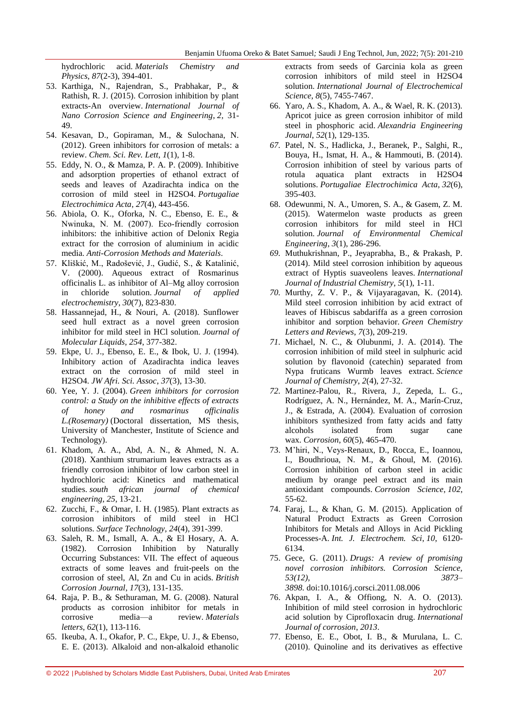hydrochloric acid. *Materials Chemistry and Physics*, *87*(2-3), 394-401.

- 53. Karthiga, N., Rajendran, S., Prabhakar, P., & Rathish, R. J. (2015). Corrosion inhibition by plant extracts-An overview. *International Journal of Nano Corrosion Science and Engineering*, *2*, 31- 49.
- 54. Kesavan, D., Gopiraman, M., & Sulochana, N. (2012). Green inhibitors for corrosion of metals: a review. *Chem. Sci. Rev. Lett*, *1*(1), 1-8.
- 55. Eddy, N. O., & Mamza, P. A. P. (2009). Inhibitive and adsorption properties of ethanol extract of seeds and leaves of Azadirachta indica on the corrosion of mild steel in H2SO4. *Portugaliae Electrochimica Acta*, *27*(4), 443-456.
- 56. Abiola, O. K., Oforka, N. C., Ebenso, E. E., & Nwinuka, N. M. (2007). Eco-friendly corrosion inhibitors: the inhibitive action of Delonix Regia extract for the corrosion of aluminium in acidic media. *Anti-Corrosion Methods and Materials*.
- 57. Kliškić, M., Radošević, J., Gudić, S., & Katalinić, V. (2000). Aqueous extract of Rosmarinus officinalis L. as inhibitor of Al–Mg alloy corrosion in chloride solution. *Journal of applied electrochemistry*, *30*(7), 823-830.
- 58. Hassannejad, H., & Nouri, A. (2018). Sunflower seed hull extract as a novel green corrosion inhibitor for mild steel in HCl solution. *Journal of Molecular Liquids*, *254*, 377-382.
- 59. Ekpe, U. J., Ebenso, E. E., & Ibok, U. J. (1994). Inhibitory action of Azadirachta indica leaves extract on the corrosion of mild steel in H2SO4. *JW Afri. Sci. Assoc*, *37*(3), 13-30.
- 60. Yee, Y. J. (2004). *Green inhibitors for corrosion control: a Study on the inhibitive effects of extracts of honey and rosmarinus officinalis L.(Rosemary)* (Doctoral dissertation, MS thesis, University of Manchester, Institute of Science and Technology).
- 61. Khadom, A. A., Abd, A. N., & Ahmed, N. A. (2018). Xanthium strumarium leaves extracts as a friendly corrosion inhibitor of low carbon steel in hydrochloric acid: Kinetics and mathematical studies. *south african journal of chemical engineering*, *25*, 13-21.
- 62. Zucchi, F., & Omar, I. H. (1985). Plant extracts as corrosion inhibitors of mild steel in HCl solutions. *Surface Technology*, *24*(4), 391-399.
- 63. Saleh, R. M., Ismall, A. A., & El Hosary, A. A. (1982). Corrosion Inhibition by Naturally Occurring Substances: VII. The effect of aqueous extracts of some leaves and fruit-peels on the corrosion of steel, Al, Zn and Cu in acids. *British Corrosion Journal*, *17*(3), 131-135.
- 64. Raja, P. B., & Sethuraman, M. G. (2008). Natural products as corrosion inhibitor for metals in corrosive media—a review. *Materials letters*, *62*(1), 113-116.
- 65. Ikeuba, A. I., Okafor, P. C., Ekpe, U. J., & Ebenso, E. E. (2013). Alkaloid and non-alkaloid ethanolic

extracts from seeds of Garcinia kola as green corrosion inhibitors of mild steel in H2SO4 solution. *International Journal of Electrochemical Science*, *8*(5), 7455-7467.

- 66. Yaro, A. S., Khadom, A. A., & Wael, R. K. (2013). Apricot juice as green corrosion inhibitor of mild steel in phosphoric acid. *Alexandria Engineering Journal*, *52*(1), 129-135.
- *67.* Patel, N. S., Hadlicka, J., Beranek, P., Salghi, R., Bouya, H., Ismat, H. A., & Hammouti, B. (2014). Corrosion inhibition of steel by various parts of rotula aquatica plant extracts in H2SO4 solutions. *Portugaliae Electrochimica Acta*, *32*(6), 395-403.
- 68. Odewunmi, N. A., Umoren, S. A., & Gasem, Z. M. (2015). Watermelon waste products as green corrosion inhibitors for mild steel in HCl solution. *Journal of Environmental Chemical Engineering*, *3*(1), 286-296.
- *69.* Muthukrishnan, P., Jeyaprabha, B., & Prakash, P. (2014). Mild steel corrosion inhibition by aqueous extract of Hyptis suaveolens leaves. *International Journal of Industrial Chemistry*, *5*(1), 1-11.
- *70.* Murthy, Z. V. P., & Vijayaragavan, K. (2014). Mild steel corrosion inhibition by acid extract of leaves of Hibiscus sabdariffa as a green corrosion inhibitor and sorption behavior. *Green Chemistry Letters and Reviews*, *7*(3), 209-219.
- *71.* Michael, N. C., & Olubunmi, J. A. (2014). The corrosion inhibition of mild steel in sulphuric acid solution by flavonoid (catechin) separated from Nypa fruticans Wurmb leaves extract. *Science Journal of Chemistry*, *2*(4), 27-32.
- *72.* Martinez-Palou, R., Rivera, J., Zepeda, L. G., Rodríguez, A. N., Hernández, M. A., Marín-Cruz, J., & Estrada, A. (2004). Evaluation of corrosion inhibitors synthesized from fatty acids and fatty alcohols isolated from sugar cane wax. *Corrosion*, *60*(5), 465-470.
- 73. M'hiri, N., Veys-Renaux, D., Rocca, E., Ioannou, I., Boudhrioua, N. M., & Ghoul, M. (2016). Corrosion inhibition of carbon steel in acidic medium by orange peel extract and its main antioxidant compounds. *Corrosion Science*, *102*, 55-62.
- 74. Faraj, L., & Khan, G. M. (2015). Application of Natural Product Extracts as Green Corrosion Inhibitors for Metals and Alloys in Acid Pickling Processes-A. *Int. J. Electrochem. Sci*, *10*, 6120- 6134.
- 75. Gece, G. (2011). *Drugs: A review of promising novel corrosion inhibitors. Corrosion Science, 53(12), 3873– 3898.* doi:10.1016/j.corsci.2011.08.006
- 76. Akpan, I. A., & Offiong, N. A. O. (2013). Inhibition of mild steel corrosion in hydrochloric acid solution by Ciprofloxacin drug. *International Journal of corrosion*, *2013*.
- 77. Ebenso, E. E., Obot, I. B., & Murulana, L. C. (2010). Quinoline and its derivatives as effective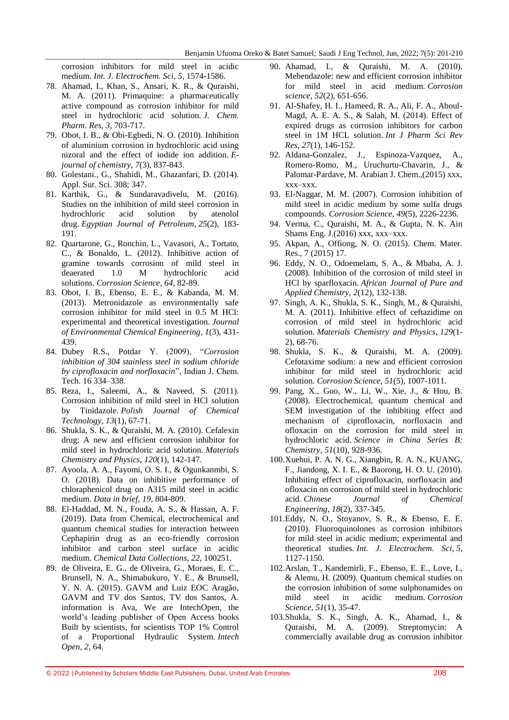corrosion inhibitors for mild steel in acidic medium. *Int. J. Electrochem. Sci*, *5*, 1574-1586.

- 78. Ahamad, I., Khan, S., Ansari, K. R., & Quraishi, M. A. (2011). Primaquine: a pharmaceutically active compound as corrosion inhibitor for mild steel in hydrochloric acid solution. *J. Chem. Pharm. Res*, *3*, 703-717.
- 79. Obot, I. B., & Obi-Egbedi, N. O. (2010). Inhibition of aluminium corrosion in hydrochloric acid using nizoral and the effect of iodide ion addition. *Ejournal of chemistry*, *7*(3), 837-843.
- 80. Golestani., G., Shahidi, M., Ghazanfari, D. (2014). Appl. Sur. Sci. 308; 347.
- 81. Karthik, G., & Sundaravadivelu, M. (2016). Studies on the inhibition of mild steel corrosion in hydrochloric acid solution by atenolol drug. *Egyptian Journal of Petroleum*, *25*(2), 183- 191.
- 82. Quartarone, G., Ronchin, L., Vavasori, A., Tortato, C., & Bonaldo, L. (2012). Inhibitive action of gramine towards corrosion of mild steel in deaerated 1.0 M hydrochloric acid solutions. *Corrosion Science*, *64*, 82-89.
- 83. Obot, I. B., Ebenso, E. E., & Kabanda, M. M. (2013). Metronidazole as environmentally safe corrosion inhibitor for mild steel in 0.5 M HCl: experimental and theoretical investigation. *Journal of Environmental Chemical Engineering*, *1*(3), 431- 439.
- 84. Dubey R.S., Potdar Y. (2009), "Corrosion *inhibition of 304 stainless steel in sodium chloride*  by ciprofloxacin and norfloxacin", Indian J. Chem. Tech. 16 334–338.
- 85. Reza, I., Saleemi, A., & Naveed, S. (2011). Corrosion inhibition of mild steel in HCl solution by Tinidazole. *Polish Journal of Chemical Technology*, *13*(1), 67-71.
- 86. Shukla, S. K., & Quraishi, M. A. (2010). Cefalexin drug: A new and efficient corrosion inhibitor for mild steel in hydrochloric acid solution. *Materials Chemistry and Physics*, *120*(1), 142-147.
- 87. Ayoola, A. A., Fayomi, O. S. I., & Ogunkanmbi, S. O. (2018). Data on inhibitive performance of chloraphenicol drug on A315 mild steel in acidic medium. *Data in brief*, *19*, 804-809.
- 88. El-Haddad, M. N., Fouda, A. S., & Hassan, A. F. (2019). Data from Chemical, electrochemical and quantum chemical studies for interaction between Cephapirin drug as an eco-friendly corrosion inhibitor and carbon steel surface in acidic medium. *Chemical Data Collections*, *22*, 100251.
- 89. de Oliveira, E. G., de Oliveira, G., Moraes, E. C., Brunsell, N. A., Shimabukuro, Y. E., & Brunsell, Y. N. A. (2015). GAVM and Luiz EOC Aragão, GAVM and TV dos Santos, TV dos Santos, A. information is Ava, We are IntechOpen, the world's leading publisher of Open Access books Built by scientists, for scientists TOP 1% Control of a Proportional Hydraulic System. *Intech Open*, *2*, 64.
- 90. Ahamad, I., & Quraishi, M. A. (2010). Mebendazole: new and efficient corrosion inhibitor for mild steel in acid medium. *Corrosion science*, *52*(2), 651-656.
- 91. Al-Shafey, H. I., Hameed, R. A., Ali, F. A., Aboul-Magd, A. E. A. S., & Salah, M. (2014). Effect of expired drugs as corrosion inhibitors for carbon steel in 1M HCL solution. *Int J Pharm Sci Rev Res*, *27*(1), 146-152.
- 92. Aldana-Gonzalez, J., Espinoza-Vazquez, A., Romero-Romo, M., Uruchurtu-Chavarin, J., & Palomar-Pardave, M. Arabian J. Chem.,(2015) xxx, xxx–xxx.
- 93. El-Naggar, M. M. (2007). Corrosion inhibition of mild steel in acidic medium by some sulfa drugs compounds. *Corrosion Science*, *49*(5), 2226-2236.
- 94. Verma, C., Quraishi, M. A., & Gupta, N. K. Ain Shams Eng. J.(2016) xxx, xxx–xxx.
- 95. Akpan, A., Offiong, N. O. (2015). Chem. Mater. Res., 7 (2015) 17.
- 96. Eddy, N. O., Odoemelam, S. A., & Mbaba, A. J. (2008). Inhibition of the corrosion of mild steel in HCl by sparfloxacin. *African Journal of Pure and Applied Chemistry*, *2*(12), 132-138.
- 97. Singh, A. K., Shukla, S. K., Singh, M., & Quraishi, M. A. (2011). Inhibitive effect of ceftazidime on corrosion of mild steel in hydrochloric acid solution. *Materials Chemistry and Physics*, *129*(1- 2), 68-76.
- 98. Shukla, S. K., & Quraishi, M. A. (2009). Cefotaxime sodium: a new and efficient corrosion inhibitor for mild steel in hydrochloric acid solution. *Corrosion Science*, *51*(5), 1007-1011.
- 99. Pang, X., Guo, W., Li, W., Xie, J., & Hou, B. (2008). Electrochemical, quantum chemical and SEM investigation of the inhibiting effect and mechanism of ciprofloxacin, norfloxacin and ofloxacin on the corrosion for mild steel in hydrochloric acid. *Science in China Series B: Chemistry*, *51*(10), 928-936.
- 100.Xuehui, P. A. N. G., Xiangbin, R. A. N., KUANG, F., Jiandong, X. I. E., & Baorong, H. O. U. (2010). Inhibiting effect of ciprofloxacin, norfloxacin and ofloxacin on corrosion of mild steel in hydrochloric acid. *Chinese Journal of Chemical Engineering*, *18*(2), 337-345.
- 101.Eddy, N. O., Stoyanov, S. R., & Ebenso, E. E. (2010). Fluoroquinolones as corrosion inhibitors for mild steel in acidic medium; experimental and theoretical studies. *Int. J. Electrochem. Sci*, *5*, 1127-1150.
- 102.Arslan, T., Kandemirli, F., Ebenso, E. E., Love, I., & Alemu, H. (2009). Quantum chemical studies on the corrosion inhibition of some sulphonamides on mild steel in acidic medium. *Corrosion Science*, *51*(1), 35-47.
- 103.Shukla, S. K., Singh, A. K., Ahamad, I., & Quraishi, M. A. (2009). Streptomycin: A commercially available drug as corrosion inhibitor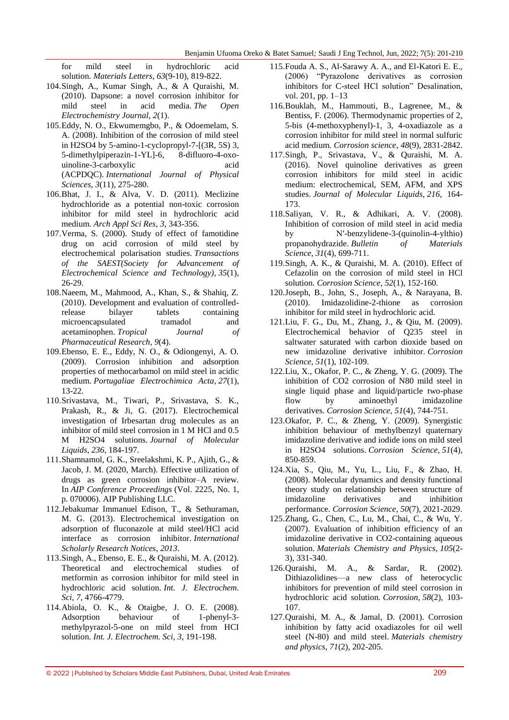for mild steel in hydrochloric acid solution. *Materials Letters*, *63*(9-10), 819-822.

- 104.Singh, A., Kumar Singh, A., & A Quraishi, M. (2010). Dapsone: a novel corrosion inhibitor for mild steel in acid media. *The Open Electrochemistry Journal*, *2*(1).
- 105.Eddy, N. O., Ekwumemgbo, P., & Odoemelam, S. A. (2008). Inhibition of the corrosion of mild steel in H2SO4 by 5-amino-1-cyclopropyl-7-[(3R, 5S) 3, 5-dimethylpiperazin-1-YL]-6, 8-difluoro-4-oxouinoline-3-carboxylic acid (ACPDQC). *International Journal of Physical Sciences*, *3*(11), 275-280.
- 106.Bhat, J. I., & Alva, V. D. (2011). Meclizine hydrochloride as a potential non-toxic corrosion inhibitor for mild steel in hydrochloric acid medium. *Arch Appl Sci Res*, *3*, 343-356.
- 107.Verma, S. (2000). Study of effect of famotidine drug on acid corrosion of mild steel by electrochemical polarisation studies. *Transactions of the SAEST(Society for Advancement of Electrochemical Science and Technology)*, *35*(1), 26-29.
- 108.Naeem, M., Mahmood, A., Khan, S., & Shahiq, Z. (2010). Development and evaluation of controlledrelease bilayer tablets containing microencapsulated tramadol and acetaminophen. *Tropical Journal of Pharmaceutical Research*, *9*(4).
- 109.Ebenso, E. E., Eddy, N. O., & Odiongenyi, A. O. (2009). Corrosion inhibition and adsorption properties of methocarbamol on mild steel in acidic medium. *Portugaliae Electrochimica Acta*, *27*(1), 13-22.
- 110.Srivastava, M., Tiwari, P., Srivastava, S. K., Prakash, R., & Ji, G. (2017). Electrochemical investigation of Irbesartan drug molecules as an inhibitor of mild steel corrosion in 1 M HCl and 0.5 M H2SO4 solutions. *Journal of Molecular Liquids*, *236*, 184-197.
- 111.Shamnamol, G. K., Sreelakshmi, K. P., Ajith, G., & Jacob, J. M. (2020, March). Effective utilization of drugs as green corrosion inhibitor–A review. In *AIP Conference Proceedings* (Vol. 2225, No. 1, p. 070006). AIP Publishing LLC.
- 112.Jebakumar Immanuel Edison, T., & Sethuraman, M. G. (2013). Electrochemical investigation on adsorption of fluconazole at mild steel/HCl acid interface as corrosion inhibitor. *International Scholarly Research Notices*, *2013*.
- 113.Singh, A., Ebenso, E. E., & Quraishi, M. A. (2012). Theoretical and electrochemical studies of metformin as corrosion inhibitor for mild steel in hydrochloric acid solution. *Int. J. Electrochem. Sci*, *7*, 4766-4779.
- 114.Abiola, O. K., & Otaigbe, J. O. E. (2008). Adsorption behaviour of 1-phenyl-3 methylpyrazol-5-one on mild steel from HCI solution. *Int. J. Electrochem. Sci*, *3*, 191-198.
- 115.Fouda A. S., Al-Sarawy A. A., and El-Katori E. E., (2006) ―Pyrazolone derivatives as corrosion inhibitors for C-steel HCl solution" Desalination, vol. 201, pp. 1–13
- 116.Bouklah, M., Hammouti, B., Lagrenee, M., & Bentiss, F. (2006). Thermodynamic properties of 2, 5-bis (4-methoxyphenyl)-1, 3, 4-oxadiazole as a corrosion inhibitor for mild steel in normal sulfuric acid medium. *Corrosion science*, *48*(9), 2831-2842.
- 117.Singh, P., Srivastava, V., & Quraishi, M. A. (2016). Novel quinoline derivatives as green corrosion inhibitors for mild steel in acidic medium: electrochemical, SEM, AFM, and XPS studies. *Journal of Molecular Liquids*, *216*, 164- 173.
- 118.Saliyan, V. R., & Adhikari, A. V. (2008). Inhibition of corrosion of mild steel in acid media by N′-benzylidene-3-(quinolin-4-ylthio) propanohydrazide. *Bulletin of Materials Science*, *31*(4), 699-711.
- 119.Singh, A. K., & Quraishi, M. A. (2010). Effect of Cefazolin on the corrosion of mild steel in HCl solution. *Corrosion Science*, *52*(1), 152-160.
- 120.Joseph, B., John, S., Joseph, A., & Narayana, B. (2010). Imidazolidine-2-thione as corrosion inhibitor for mild steel in hydrochloric acid.
- 121.Liu, F. G., Du, M., Zhang, J., & Qiu, M. (2009). Electrochemical behavior of Q235 steel in saltwater saturated with carbon dioxide based on new imidazoline derivative inhibitor. *Corrosion Science*, *51*(1), 102-109.
- 122.Liu, X., Okafor, P. C., & Zheng, Y. G. (2009). The inhibition of CO2 corrosion of N80 mild steel in single liquid phase and liquid/particle two-phase flow by aminoethyl imidazoline derivatives. *Corrosion Science*, *51*(4), 744-751.
- 123.Okafor, P. C., & Zheng, Y. (2009). Synergistic inhibition behaviour of methylbenzyl quaternary imidazoline derivative and iodide ions on mild steel in H2SO4 solutions. *Corrosion Science*, *51*(4), 850-859.
- 124.Xia, S., Qiu, M., Yu, L., Liu, F., & Zhao, H. (2008). Molecular dynamics and density functional theory study on relationship between structure of imidazoline derivatives and inhibition performance. *Corrosion Science*, *50*(7), 2021-2029.
- 125.Zhang, G., Chen, C., Lu, M., Chai, C., & Wu, Y. (2007). Evaluation of inhibition efficiency of an imidazoline derivative in CO2-containing aqueous solution. *Materials Chemistry and Physics*, *105*(2- 3), 331-340.
- 126.Quraishi, M. A., & Sardar, R. (2002). Dithiazolidines—a new class of heterocyclic inhibitors for prevention of mild steel corrosion in hydrochloric acid solution. *Corrosion*, *58*(2), 103- 107.
- 127.Quraishi, M. A., & Jamal, D. (2001). Corrosion inhibition by fatty acid oxadiazoles for oil well steel (N-80) and mild steel. *Materials chemistry and physics*, *71*(2), 202-205.